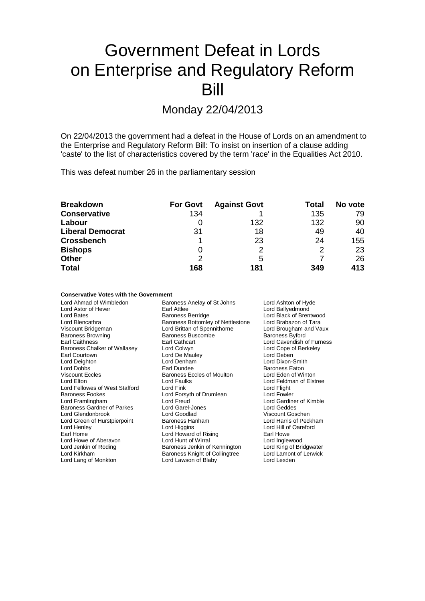# Government Defeat in Lords on Enterprise and Regulatory Reform Bill

Monday 22/04/2013

On 22/04/2013 the government had a defeat in the House of Lords on an amendment to the Enterprise and Regulatory Reform Bill: To insist on insertion of a clause adding 'caste' to the list of characteristics covered by the term 'race' in the Equalities Act 2010.

This was defeat number 26 in the parliamentary session

| <b>Breakdown</b>        | <b>For Govt</b> | <b>Against Govt</b> | Total         | No vote |
|-------------------------|-----------------|---------------------|---------------|---------|
| <b>Conservative</b>     | 134             |                     | 135           | 79      |
| Labour                  | O               | 132                 | 132           | 90      |
| <b>Liberal Democrat</b> | 31              | 18                  | 49            | 40      |
| <b>Crossbench</b>       |                 | 23                  | 24            | 155     |
| <b>Bishops</b>          | 0               | 2                   | $\mathcal{P}$ | 23      |
| <b>Other</b>            | 2               | 5                   |               | 26      |
| <b>Total</b>            | 168             | 181                 | 349           | 413     |

### **Conservative Votes with the Government**

| Lord Ahmad of Wimbledon           | Baroness Anelay of St Johns       | Lord Ashton of Hyde       |
|-----------------------------------|-----------------------------------|---------------------------|
| Lord Astor of Hever               | Earl Attlee                       | Lord Ballyedmond          |
| Lord Bates                        | <b>Baroness Berridge</b>          | Lord Black of Brentwood   |
| Lord Blencathra                   | Baroness Bottomley of Nettlestone | Lord Brabazon of Tara     |
| Viscount Bridgeman                | Lord Brittan of Spennithorne      | Lord Brougham and Vaux    |
| <b>Baroness Browning</b>          | <b>Baroness Buscombe</b>          | <b>Baroness Byford</b>    |
| <b>Earl Caithness</b>             | Earl Cathcart                     | Lord Cavendish of Furness |
| Baroness Chalker of Wallasey      | Lord Colwyn                       | Lord Cope of Berkeley     |
| Earl Courtown                     | Lord De Mauley                    | Lord Deben                |
| Lord Deighton                     | Lord Denham                       | Lord Dixon-Smith          |
| Lord Dobbs                        | Earl Dundee                       | <b>Baroness Eaton</b>     |
| <b>Viscount Eccles</b>            | <b>Baroness Eccles of Moulton</b> | Lord Eden of Winton       |
| Lord Elton                        | <b>Lord Faulks</b>                | Lord Feldman of Elstree   |
| Lord Fellowes of West Stafford    | Lord Fink                         | Lord Flight               |
| <b>Baroness Fookes</b>            | Lord Forsyth of Drumlean          | Lord Fowler               |
| Lord Framlingham                  | Lord Freud                        | Lord Gardiner of Kimble   |
| <b>Baroness Gardner of Parkes</b> | Lord Garel-Jones                  | Lord Geddes               |
| Lord Glendonbrook                 | Lord Goodlad                      | Viscount Goschen          |
| Lord Green of Hurstpierpoint      | Baroness Hanham                   | Lord Harris of Peckham    |
| Lord Henley                       | Lord Higgins                      | Lord Hill of Oareford     |
| Earl Home                         | Lord Howard of Rising             | Earl Howe                 |
| Lord Howe of Aberavon             | Lord Hunt of Wirral               | Lord Inglewood            |
| Lord Jenkin of Roding             | Baroness Jenkin of Kennington     | Lord King of Bridgwater   |
| Lord Kirkham                      | Baroness Knight of Collingtree    | Lord Lamont of Lerwick    |
| Lord Lang of Monkton              | Lord Lawson of Blaby              | Lord Lexden               |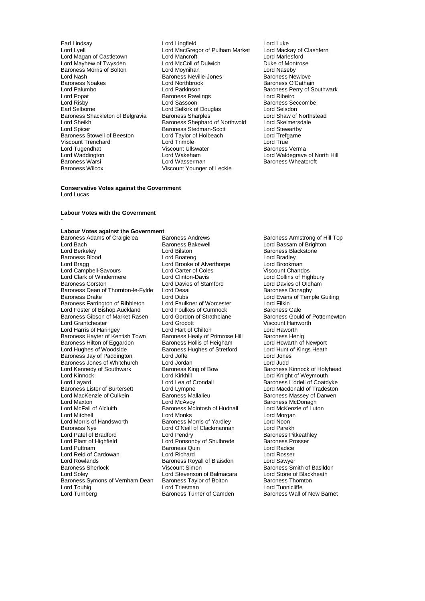Lord Nash Baroness Neville-Jones<br>
Baroness Noakes<br>
Lord Northbrook Lord Popat **Baroness Rawlings**<br>
Lord Risby **Baroness Rawlings**<br>
Lord Risby Lord Tugendhat Viscount Ullswater<br>
Lord Waddington<br>
Lord Wakeham

Earl Lindsay **Lord Lord Lingfield** Lord Luke Lord Luke<br>
Lord Lord MacGregor of Pulham Market Lord Mackay of Clashfern Lord MacGregor of Pulham Market Lord Mackay of Clashfern Lord Mackay of Clashfern Lord Marlesford Lord Magan of Castletown Lord Mancroft Lord Marlesford Lord Mayhew of Twysden Lord McColl of Dulwich<br>Baroness Morris of Bolton Lord Movinhan Lord Maynihan Lord Naseby Baroness Morris of Bolton Lord Moynihan Lord Naseby Baroness Noakes Lord Northbrook Baroness O'Cathain<br>
Lord Palumbo Lord Parkinson Baroness Perry of Sc Lord Palumbo **Lord Parkinson** Baroness Perry of Southwark<br>
Lord Popat **Baroness Rawlings** Lord Ribeiro Lord Risby **Lord Sassoon Baroness Seccombe**<br>
Earl Selborne **Baroness Seccombe**<br>
Lord Selsdon **Baroness Seccombe**<br>
Lord Selsdon Earl Selborne Lord Selkirk of Douglas Lord Selsdon Baroness Shackleton of Belgravia Baroness Sharples **Baroness Sharples** Lord Shaw of North<br>Lord Sheikh Baroness Shephard of Northwold Lord Skelmersdale Lord Sheikh **Baroness Shephard of Northwold** Lord Skelmersc<br>
Lord Spicer **Baroness Stedman-Scott** Lord Stewartby Exaroness Stedman-Scott Lord Stewartby<br>
Lord Taylor of Holbeach Lord Trefgarne Baroness Stowell of Beeston Lord Taylor of Holbeach Lord Trefg<br>
Lord Trefgarness Stowell of Beeston Lord Trefgareness Lord Trefgareness Lord True Viscount Trenchard **Communist Communist Lord Trimble** Lord True Lord True Lord True Lord True Lord True Lord True<br>
Lord Tugendhat **Lord True Lord True Lord True Lord True** Lord True Lord True Verma Lord Waddington Lord Wakeham Lord Waldegrave of North Hill Baroness Warsi **Research State Lord Wasserman** Baroness Wheatcroft<br>
Baroness Wilcox **Marsh State Wilcomess** Viscount Younger of Leckie Viscount Younger of Leckie

### **Conservative Votes against the Government** Lord Lucas

### **Labour Votes with the Government**

**-**

### **Labour Votes against the Government**

Lord Bach Baroness Bakewell **Example 20 Example 20 Lord Bassam of Brighton**<br>
Lord Berkeley **Baroness Blackstone**<br>
Lord Baroness Blackstone Baroness Blood **Exercise Secure Lord Boateng** Lord Brooks Blood Bradley<br>
Lord Brada<br>
Lord Brookman<br>
Lord Brookman Lord Campbell-Savours Lord Carter of Coles Viscount Chandos<br>
Lord Clark of Windermere Lord Clinton-Davis Lord Collins of Highbury Lord Clark of Windermere Lord Clinton-Davis<br>
Baroness Corston Lord Davies of Stamford Baroness Dean of Thornton-le-Fylde Lord Desai<br>Baroness Drake Lord Dubs Baroness Farrington of Ribbleton Lord Faulkner of Worcester Lord Filkin<br>
Lord Foster of Bishop Auckland Lord Foulkes of Cumnock Baroness Gale Lord Foster of Bishop Auckland Lord Foulkes of Cumnock Baroness Gale<br>
Baroness Gibson of Market Rasen Lord Gordon of Strathblane Baroness Gould of Potternewton Baroness Gibson of Market Rasen Lord Gordon<br>Lord Grantchester **Baroness Baroness Baroness Gould Conet** Lord Harris of Haringey Lord Hart of Chilton Lord Haworth Baroness Hayter of Kentish Town Baroness Healy of Primrose Hill Baroness Henig<br>Baroness Hilton of Eggardon Baroness Hollis of Heigham Lord Howarth of Newport Baroness Hilton of Eggardon Baroness Hollis of Heigham Lord Howarth of Newport<br>
Lord Hughes of Woodside Baroness Hughes of Stretford Lord Hunt of Kings Heath Baroness Jay of Paddington Lord Joffe Lord Jones<br>
Baroness Jones of Whitchurch Lord Jordan Lord Judd Lord Judd Baroness Jones of Whitchurch Lord Jordan<br>
Lord Kennedy of Southwark Baroness King of Bow Lord Kennedy of Southwark Baroness King of Bow<br>
Lord Kinnock of Holyhead<br>
Lord Kinnock Cheroness King of Bow Baroness Kinnock of Weymouth Lord Kinnock **Lord Kirkhill** Lord Kirkhill Lord Knight of Weymouth<br>Lord Layard Lord Lord Lea of Crondall **Condumentary Baroness** Liddell of Coatd Lord Layard Layard Lord Lea of Crondall Coat Baroness Liddell of Coatdyke<br>Baroness Lister of Burtersett Lord Lympne Lord Macdonald of Tradeston Baroness Lister of Burtersett Lord Lympne Lord Lord Macdonald of Tradeston<br>
Lord MacKenzie of Culkein Baroness Mallalieu Baroness Massey of Darwen Lord MacKenzie of Culkein **Baroness** Mallalieu **Baroness Massey of Darwen**<br>
Lord Maxton **Baroness McDonagh**<br>
Lord McAvoy **Communist Communist Communist Communist Communist Communist Communist Communist Communist Communist** Lord Maxton **Maxton** Lord McAvoy **Baroness McDonagh**<br>
Lord McFall of Alcluith **Baroness McIntosh of Hudnall** Lord McKenzie of Luton Lord McFall of Alcluith Baroness McIntosh of Hudnall<br>
Lord Mitchell Cord Monks Lord Mitchell **Communist Lord Monks**<br>
Lord Morris of Handsworth **Baroness Morris of Yardley** Lord Noon Lord Morris of Handsworth **Baroness Morris of Yardley** Lord Noon<br>
Baroness Nye **Corris Clack Lord Clack Clack Morris of Yard Arach Lord Parekh** Lord Patel of Bradford **Lord Pendry** Lord Pendry **Baroness Pitkeath**<br>
Lord Plant of Highfield **Baroness Prosser**<br>
Lord Ponsonby of Shulbrede Baroness Prosser Lord Plant of Highfield Lord Ponsonby of Shulbrede Baroness Providence Baroness Providence Baroness Providence<br>
Lord Puttnam Baroness Quin Lord Reid of Cardowan Lord Richard Lord Rosser Lord Rowlands<br>
Baroness Sherlock<br>
Viscount Simon<br>
Viscount Simon Baroness Sherlock Viscount Simon Baroness Smith of Basildon Baroness Symons of Vernham Dean Baroness Taylor Cord Touhig<br>Lord Touhig Baroness Taylor Lord Turnberg **Baroness Turner of Camden** Baroness Wall of New Barnet

Baroness Andrews **Craigiele Baroness Armstrong of Hill Top**<br>
Baroness Bakewell **Corain Carmstrong Armstrong Armstrong Craig** Lord Bilston **Baroness Blackstone**<br>
Lord Boateng<br>
Lord Bradley Lord Brooke of Alverthorpe Lord Brookman<br>
Lord Carter of Coles 
Viscount Chandos Lord Davies of Stamford<br>
Lord Desai **Corston Caroness Conaghy**<br>
Baroness Donaghy Lord Dubs<br>
Lord Eaulkner of Worcester<br>
Lord Eilkin Lord Grocott<br>
Lord Hart of Chilton<br>
Lord Haworth Baroness Hughes of Stretford Lord Hunt c<br>Lord Joffe Lord Lord Hunter Lord O'Neill of Clackmannan Lord Parekh<br>Lord Pendry Clackmannan Baroness Pitkeathley Examples Quin **Baroness Quin Lord Radice**<br> **Lord Richard** Lord Rosser Lord Stevenson of Balmacara Lord Stone of Blackheath<br>
Baroness Taylor of Bolton Baroness Thornton

Lord Tunnicliffe